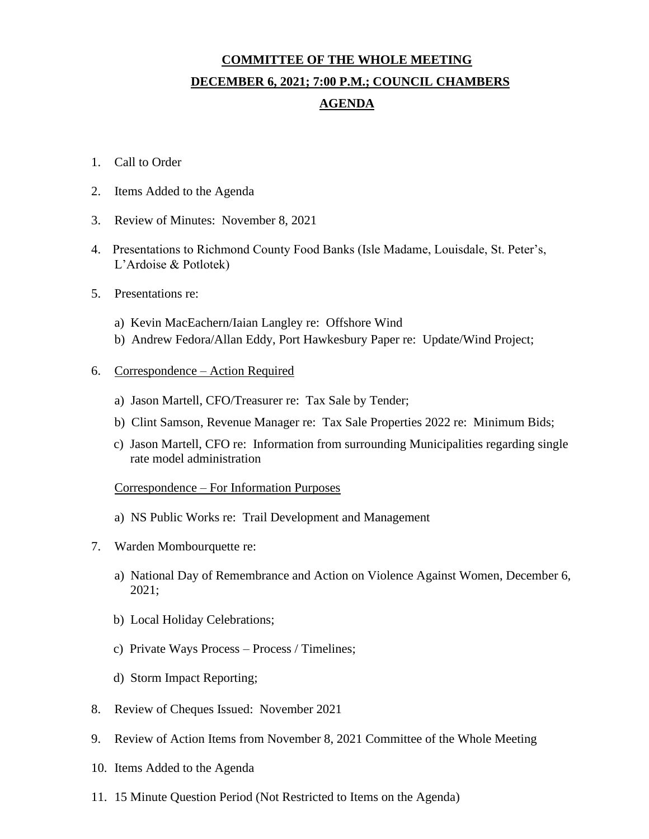# **COMMITTEE OF THE WHOLE MEETING DECEMBER 6, 2021; 7:00 P.M.; COUNCIL CHAMBERS AGENDA**

- 1. Call to Order
- 2. Items Added to the Agenda
- 3. Review of Minutes: November 8, 2021
- 4. Presentations to Richmond County Food Banks (Isle Madame, Louisdale, St. Peter's, L'Ardoise & Potlotek)
- 5. Presentations re:
	- a) Kevin MacEachern/Iaian Langley re: Offshore Wind
	- b) Andrew Fedora/Allan Eddy, Port Hawkesbury Paper re: Update/Wind Project;

#### 6. Correspondence – Action Required

- a) Jason Martell, CFO/Treasurer re: Tax Sale by Tender;
- b) Clint Samson, Revenue Manager re: Tax Sale Properties 2022 re: Minimum Bids;
- c) Jason Martell, CFO re: Information from surrounding Municipalities regarding single rate model administration

### Correspondence – For Information Purposes

- a) NS Public Works re: Trail Development and Management
- 7. Warden Mombourquette re:
	- a) National Day of Remembrance and Action on Violence Against Women, December 6, 2021;
	- b) Local Holiday Celebrations;
	- c) Private Ways Process Process / Timelines;
	- d) Storm Impact Reporting;
- 8. Review of Cheques Issued: November 2021
- 9. Review of Action Items from November 8, 2021 Committee of the Whole Meeting
- 10. Items Added to the Agenda
- 11. 15 Minute Question Period (Not Restricted to Items on the Agenda)